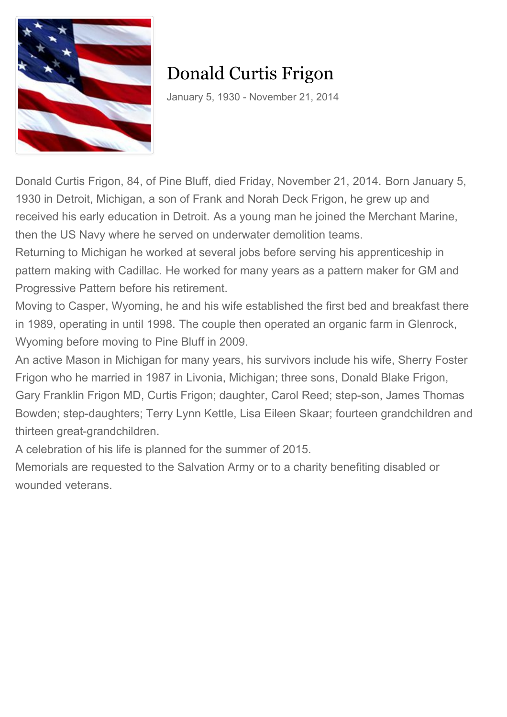

## Donald Curtis Frigon

January 5, 1930 - November 21, 2014

Donald Curtis Frigon, 84, of Pine Bluff, died Friday, November 21, 2014. Born January 5, 1930 in Detroit, Michigan, a son of Frank and Norah Deck Frigon, he grew up and received his early education in Detroit. As a young man he joined the Merchant Marine, then the US Navy where he served on underwater demolition teams.

Returning to Michigan he worked at several jobs before serving his apprenticeship in pattern making with Cadillac. He worked for many years as a pattern maker for GM and Progressive Pattern before his retirement.

Moving to Casper, Wyoming, he and his wife established the first bed and breakfast there in 1989, operating in until 1998. The couple then operated an organic farm in Glenrock, Wyoming before moving to Pine Bluff in 2009.

An active Mason in Michigan for many years, his survivors include his wife, Sherry Foster Frigon who he married in 1987 in Livonia, Michigan; three sons, Donald Blake Frigon, Gary Franklin Frigon MD, Curtis Frigon; daughter, Carol Reed; step-son, James Thomas Bowden; step-daughters; Terry Lynn Kettle, Lisa Eileen Skaar; fourteen grandchildren and thirteen great-grandchildren.

A celebration of his life is planned for the summer of 2015.

Memorials are requested to the Salvation Army or to a charity benefiting disabled or wounded veterans.